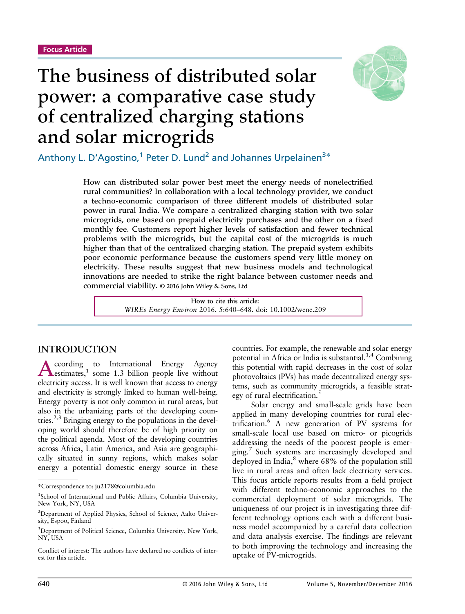

# The business of distributed solar power: a comparative case study of centralized charging stations and solar microgrids

Anthony L. D'Agostino,<sup>1</sup> Peter D. Lund<sup>2</sup> and Johannes Urpelainen<sup>3\*</sup>

How can distributed solar power best meet the energy needs of nonelectrified rural communities? In collaboration with a local technology provider, we conduct a techno-economic comparison of three different models of distributed solar power in rural India. We compare a centralized charging station with two solar microgrids, one based on prepaid electricity purchases and the other on a fixed monthly fee. Customers report higher levels of satisfaction and fewer technical problems with the microgrids, but the capital cost of the microgrids is much higher than that of the centralized charging station. The prepaid system exhibits poor economic performance because the customers spend very little money on electricity. These results suggest that new business models and technological innovations are needed to strike the right balance between customer needs and commercial viability. © 2016 John Wiley & Sons, Ltd

> **How to cite this article:** *WIREs Energy Environ* 2016, 5:640–648. doi: 10.1002/wene.209

## **INTRODUCTION**

According to International Energy Agency<br>
estimates,<sup>1</sup> some 1.3 billion people live without electricity access. It is well known that access to energy and electricity is strongly linked to human well-being. Energy poverty is not only common in rural areas, but also in the urbanizing parts of the developing countries.<sup>2,3</sup> Bringing energy to the populations in the developing world should therefore be of high priority on the political agenda. Most of the developing countries across Africa, Latin America, and Asia are geographically situated in sunny regions, which makes solar energy a potential domestic energy source in these

countries. For example, the renewable and solar energy potential in Africa or India is substantial.<sup>1,4</sup> Combining this potential with rapid decreases in the cost of solar photovoltaics (PVs) has made decentralized energy systems, such as community microgrids, a feasible strategy of rural electrification.<sup>5</sup>

Solar energy and small-scale grids have been applied in many developing countries for rural electrification.<sup>6</sup> A new generation of PV systems for small-scale local use based on micro- or picogrids addressing the needs of the poorest people is emer- $\text{ging.}^7$  Such systems are increasingly developed and deployed in India, $\frac{8}{3}$  where 68% of the population still live in rural areas and often lack electricity services. This focus article reports results from a field project with different techno-economic approaches to the commercial deployment of solar microgrids. The uniqueness of our project is in investigating three different technology options each with a different business model accompanied by a careful data collection and data analysis exercise. The findings are relevant to both improving the technology and increasing the uptake of PV-microgrids.

<sup>\*</sup>Correspondence to: ju2178@columbia.edu

<sup>&</sup>lt;sup>1</sup>School of International and Public Affairs, Columbia University, New York, NY, USA

<sup>&</sup>lt;sup>2</sup>Department of Applied Physics, School of Science, Aalto University, Espoo, Finland

<sup>&</sup>lt;sup>3</sup>Department of Political Science, Columbia University, New York, NY, USA

Conflict of interest: The authors have declared no conflicts of interest for this article.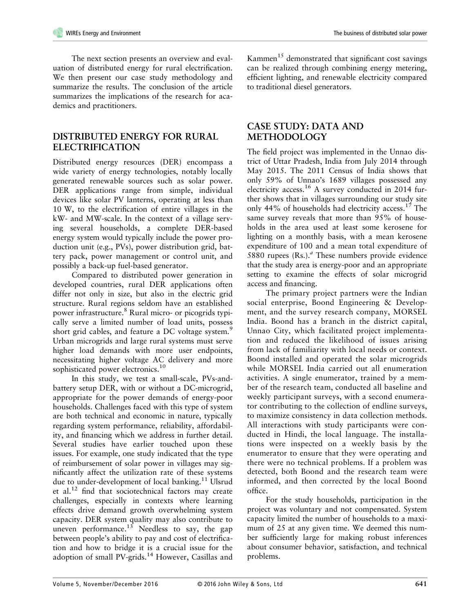The next section presents an overview and evaluation of distributed energy for rural electrification. We then present our case study methodology and summarize the results. The conclusion of the article summarizes the implications of the research for academics and practitioners.

## **DISTRIBUTED ENERGY FOR RURAL ELECTRIFICATION**

Distributed energy resources (DER) encompass a wide variety of energy technologies, notably locally generated renewable sources such as solar power. DER applications range from simple, individual devices like solar PV lanterns, operating at less than 10 W, to the electrification of entire villages in the kW- and MW-scale. In the context of a village serving several households, a complete DER-based energy system would typically include the power production unit (e.g., PVs), power distribution grid, battery pack, power management or control unit, and possibly a back-up fuel-based generator.

Compared to distributed power generation in developed countries, rural DER applications often differ not only in size, but also in the electric grid structure. Rural regions seldom have an established power infrastructure.<sup>8</sup> Rural micro- or picogrids typically serve a limited number of load units, possess short grid cables, and feature a DC voltage system.<sup>9</sup> Urban microgrids and large rural systems must serve higher load demands with more user endpoints, necessitating higher voltage AC delivery and more sophisticated power electronics.<sup>10</sup>

In this study, we test a small-scale, PVs-andbattery setup DER, with or without a DC-microgrid, appropriate for the power demands of energy-poor households. Challenges faced with this type of system are both technical and economic in nature, typically regarding system performance, reliability, affordability, and financing which we address in further detail. Several studies have earlier touched upon these issues. For example, one study indicated that the type of reimbursement of solar power in villages may significantly affect the utilization rate of these systems due to under-development of local banking.<sup>11</sup> Ulsrud et al.<sup>12</sup> find that sociotechnical factors may create challenges, especially in contexts where learning effects drive demand growth overwhelming system capacity. DER system quality may also contribute to uneven performance. $13$  Needless to say, the gap between people's ability to pay and cost of electrification and how to bridge it is a crucial issue for the adoption of small PV-grids.<sup>14</sup> However, Casillas and

Kammen<sup>15</sup> demonstrated that significant cost savings can be realized through combining energy metering, efficient lighting, and renewable electricity compared to traditional diesel generators.

# **CASE STUDY: DATA AND METHODOLOGY**

The field project was implemented in the Unnao district of Uttar Pradesh, India from July 2014 through May 2015. The 2011 Census of India shows that only 59% of Unnao's 1689 villages possessed any electricity access.<sup>16</sup> A survey conducted in 2014 further shows that in villages surrounding our study site only 44% of households had electricity access.<sup>17</sup> The same survey reveals that more than 95% of households in the area used at least some kerosene for lighting on a monthly basis, with a mean kerosene expenditure of 100 and a mean total expenditure of 5880 rupees (Rs.).*<sup>a</sup>* These numbers provide evidence that the study area is energy-poor and an appropriate setting to examine the effects of solar microgrid access and financing.

The primary project partners were the Indian social enterprise, Boond Engineering & Development, and the survey research company, MORSEL India. Boond has a branch in the district capital, Unnao City, which facilitated project implementation and reduced the likelihood of issues arising from lack of familiarity with local needs or context. Boond installed and operated the solar microgrids while MORSEL India carried out all enumeration activities. A single enumerator, trained by a member of the research team, conducted all baseline and weekly participant surveys, with a second enumerator contributing to the collection of endline surveys, to maximize consistency in data collection methods. All interactions with study participants were conducted in Hindi, the local language. The installations were inspected on a weekly basis by the enumerator to ensure that they were operating and there were no technical problems. If a problem was detected, both Boond and the research team were informed, and then corrected by the local Boond office.

For the study households, participation in the project was voluntary and not compensated. System capacity limited the number of households to a maximum of 25 at any given time. We deemed this number sufficiently large for making robust inferences about consumer behavior, satisfaction, and technical problems.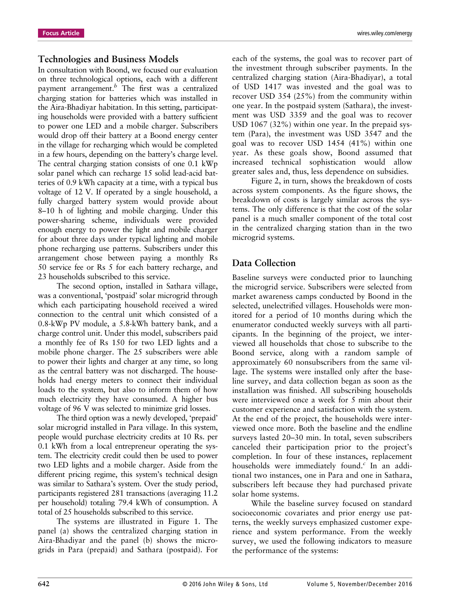### **Technologies and Business Models**

In consultation with Boond, we focused our evaluation on three technological options, each with a different payment arrangement.*<sup>b</sup>* The first was a centralized charging station for batteries which was installed in the Aira-Bhadiyar habitation. In this setting, participating households were provided with a battery sufficient to power one LED and a mobile charger. Subscribers would drop off their battery at a Boond energy center in the village for recharging which would be completed in a few hours, depending on the battery's charge level. The central charging station consists of one 0.1 kWp solar panel which can recharge 15 solid lead-acid batteries of 0.9 kWh capacity at a time, with a typical bus voltage of 12 V. If operated by a single household, a fully charged battery system would provide about 8–10 h of lighting and mobile charging. Under this power-sharing scheme, individuals were provided enough energy to power the light and mobile charger for about three days under typical lighting and mobile phone recharging use patterns. Subscribers under this arrangement chose between paying a monthly Rs 50 service fee or Rs 5 for each battery recharge, and 23 households subscribed to this service.

The second option, installed in Sathara village, was a conventional, 'postpaid' solar microgrid through which each participating household received a wired connection to the central unit which consisted of a 0.8-kWp PV module, a 5.8-kWh battery bank, and a charge control unit. Under this model, subscribers paid a monthly fee of Rs 150 for two LED lights and a mobile phone charger. The 25 subscribers were able to power their lights and charger at any time, so long as the central battery was not discharged. The households had energy meters to connect their individual loads to the system, but also to inform them of how much electricity they have consumed. A higher bus voltage of 96 V was selected to minimize grid losses.

The third option was a newly developed, 'prepaid' solar microgrid installed in Para village. In this system, people would purchase electricity credits at 10 Rs. per 0.1 kWh from a local entrepreneur operating the system. The electricity credit could then be used to power two LED lights and a mobile charger. Aside from the different pricing regime, this system's technical design was similar to Sathara's system. Over the study period, participants registered 281 transactions (averaging 11.2 per household) totaling 79.4 kWh of consumption. A total of 25 households subscribed to this service.

The systems are illustrated in Figure 1. The panel (a) shows the centralized charging station in Aira-Bhadiyar and the panel (b) shows the microgrids in Para (prepaid) and Sathara (postpaid). For each of the systems, the goal was to recover part of the investment through subscriber payments. In the centralized charging station (Aira-Bhadiyar), a total of USD 1417 was invested and the goal was to recover USD 354 (25%) from the community within one year. In the postpaid system (Sathara), the investment was USD 3359 and the goal was to recover USD 1067 (32%) within one year. In the prepaid system (Para), the investment was USD 3547 and the goal was to recover USD 1454 (41%) within one year. As these goals show, Boond assumed that increased technical sophistication would allow greater sales and, thus, less dependence on subsidies.

Figure 2, in turn, shows the breakdown of costs across system components. As the figure shows, the breakdown of costs is largely similar across the systems. The only difference is that the cost of the solar panel is a much smaller component of the total cost in the centralized charging station than in the two microgrid systems.

## **Data Collection**

Baseline surveys were conducted prior to launching the microgrid service. Subscribers were selected from market awareness camps conducted by Boond in the selected, unelectrified villages. Households were monitored for a period of 10 months during which the enumerator conducted weekly surveys with all participants. In the beginning of the project, we interviewed all households that chose to subscribe to the Boond service, along with a random sample of approximately 60 nonsubscribers from the same village. The systems were installed only after the baseline survey, and data collection began as soon as the installation was finished. All subscribing households were interviewed once a week for 5 min about their customer experience and satisfaction with the system. At the end of the project, the households were interviewed once more. Both the baseline and the endline surveys lasted 20–30 min. In total, seven subscribers canceled their participation prior to the project's completion. In four of these instances, replacement households were immediately found.*<sup>c</sup>* In an additional two instances, one in Para and one in Sathara, subscribers left because they had purchased private solar home systems.

While the baseline survey focused on standard socioeconomic covariates and prior energy use patterns, the weekly surveys emphasized customer experience and system performance. From the weekly survey, we used the following indicators to measure the performance of the systems: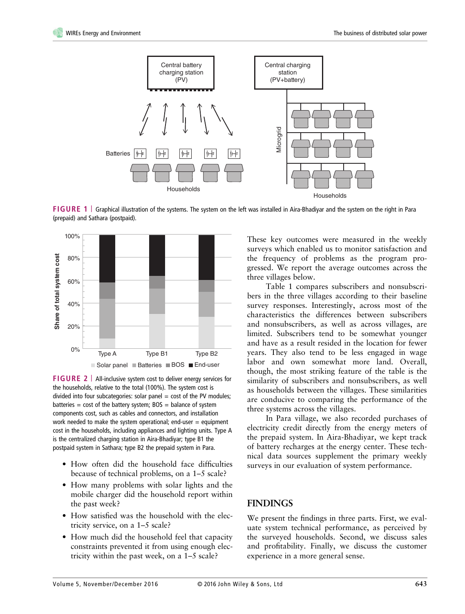

**FIGURE 1** | Graphical illustration of the systems. The system on the left was installed in Aira-Bhadiyar and the system on the right in Para (prepaid) and Sathara (postpaid).





- How often did the household face difficulties because of technical problems, on a 1–5 scale?
- How many problems with solar lights and the mobile charger did the household report within the past week?
- How satisfied was the household with the electricity service, on a 1–5 scale?
- How much did the household feel that capacity constraints prevented it from using enough electricity within the past week, on a 1–5 scale?

These key outcomes were measured in the weekly surveys which enabled us to monitor satisfaction and the frequency of problems as the program progressed. We report the average outcomes across the three villages below.

Table 1 compares subscribers and nonsubscribers in the three villages according to their baseline survey responses. Interestingly, across most of the characteristics the differences between subscribers and nonsubscribers, as well as across villages, are limited. Subscribers tend to be somewhat younger and have as a result resided in the location for fewer years. They also tend to be less engaged in wage labor and own somewhat more land. Overall, though, the most striking feature of the table is the similarity of subscribers and nonsubscribers, as well as households between the villages. These similarities are conducive to comparing the performance of the three systems across the villages.

In Para village, we also recorded purchases of electricity credit directly from the energy meters of the prepaid system. In Aira-Bhadiyar, we kept track of battery recharges at the energy center. These technical data sources supplement the primary weekly surveys in our evaluation of system performance.

## **FINDINGS**

We present the findings in three parts. First, we evaluate system technical performance, as perceived by the surveyed households. Second, we discuss sales and profitability. Finally, we discuss the customer experience in a more general sense.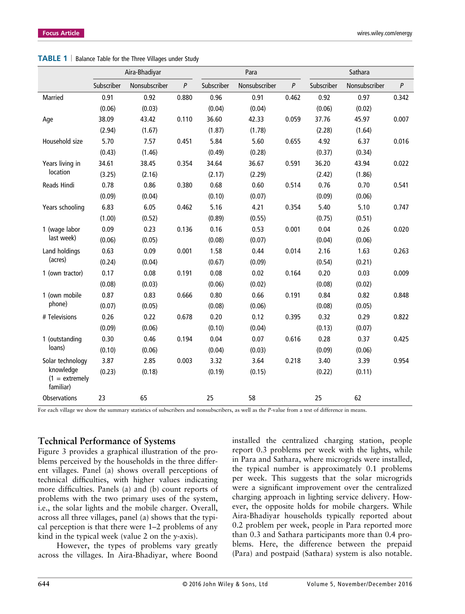#### **TABLE 1** | Balance Table for the Three Villages under Study

|                                                                | Aira-Bhadiyar |               |       | Para       |               |              | Sathara    |               |       |
|----------------------------------------------------------------|---------------|---------------|-------|------------|---------------|--------------|------------|---------------|-------|
|                                                                | Subscriber    | Nonsubscriber | P     | Subscriber | Nonsubscriber | $\mathsf{P}$ | Subscriber | Nonsubscriber | P     |
| Married                                                        | 0.91          | 0.92          | 0.880 | 0.96       | 0.91          | 0.462        | 0.92       | 0.97          | 0.342 |
|                                                                | (0.06)        | (0.03)        |       | (0.04)     | (0.04)        |              | (0.06)     | (0.02)        |       |
| Age                                                            | 38.09         | 43.42         | 0.110 | 36.60      | 42.33         | 0.059        | 37.76      | 45.97         | 0.007 |
|                                                                | (2.94)        | (1.67)        |       | (1.87)     | (1.78)        |              | (2.28)     | (1.64)        |       |
| Household size                                                 | 5.70          | 7.57          | 0.451 | 5.84       | 5.60          | 0.655        | 4.92       | 6.37          | 0.016 |
|                                                                | (0.43)        | (1.46)        |       | (0.49)     | (0.28)        |              | (0.37)     | (0.34)        |       |
| Years living in<br>location                                    | 34.61         | 38.45         | 0.354 | 34.64      | 36.67         | 0.591        | 36.20      | 43.94         | 0.022 |
|                                                                | (3.25)        | (2.16)        |       | (2.17)     | (2.29)        |              | (2.42)     | (1.86)        |       |
| Reads Hindi                                                    | 0.78          | 0.86          | 0.380 | 0.68       | 0.60          | 0.514        | 0.76       | 0.70          | 0.541 |
|                                                                | (0.09)        | (0.04)        |       | (0.10)     | (0.07)        |              | (0.09)     | (0.06)        |       |
| Years schooling                                                | 6.83          | 6.05          | 0.462 | 5.16       | 4.21          | 0.354        | 5.40       | 5.10          | 0.747 |
|                                                                | (1.00)        | (0.52)        |       | (0.89)     | (0.55)        |              | (0.75)     | (0.51)        |       |
| 1 (wage labor<br>last week)                                    | 0.09          | 0.23          | 0.136 | 0.16       | 0.53          | 0.001        | 0.04       | 0.26          | 0.020 |
|                                                                | (0.06)        | (0.05)        |       | (0.08)     | (0.07)        |              | (0.04)     | (0.06)        |       |
| Land holdings<br>(acres)                                       | 0.63          | 0.09          | 0.001 | 1.58       | 0.44          | 0.014        | 2.16       | 1.63          | 0.263 |
|                                                                | (0.24)        | (0.04)        |       | (0.67)     | (0.09)        |              | (0.54)     | (0.21)        |       |
| 1 (own tractor)                                                | 0.17          | 0.08          | 0.191 | 0.08       | 0.02          | 0.164        | 0.20       | 0.03          | 0.009 |
|                                                                | (0.08)        | (0.03)        |       | (0.06)     | (0.02)        |              | (0.08)     | (0.02)        |       |
| 1 (own mobile<br>phone)                                        | 0.87          | 0.83          | 0.666 | 0.80       | 0.66          | 0.191        | 0.84       | 0.82          | 0.848 |
|                                                                | (0.07)        | (0.05)        |       | (0.08)     | (0.06)        |              | (0.08)     | (0.05)        |       |
| # Televisions                                                  | 0.26          | 0.22          | 0.678 | 0.20       | 0.12          | 0.395        | 0.32       | 0.29          | 0.822 |
|                                                                | (0.09)        | (0.06)        |       | (0.10)     | (0.04)        |              | (0.13)     | (0.07)        |       |
| 1 (outstanding<br>loans)                                       | 0.30          | 0.46          | 0.194 | 0.04       | 0.07          | 0.616        | 0.28       | 0.37          | 0.425 |
|                                                                | (0.10)        | (0.06)        |       | (0.04)     | (0.03)        |              | (0.09)     | (0.06)        |       |
| Solar technology<br>knowledge<br>$(1 =$ extremely<br>familiar) | 3.87          | 2.85          | 0.003 | 3.32       | 3.64          | 0.218        | 3.40       | 3.39          | 0.954 |
|                                                                | (0.23)        | (0.18)        |       | (0.19)     | (0.15)        |              | (0.22)     | (0.11)        |       |
| Observations                                                   | 23            | 65            |       | 25         | 58            |              | 25         | 62            |       |

For each village we show the summary statistics of subscribers and nonsubscribers, as well as the *P*-value from a test of difference in means.

## **Technical Performance of Systems**

Figure 3 provides a graphical illustration of the problems perceived by the households in the three different villages. Panel (a) shows overall perceptions of technical difficulties, with higher values indicating more difficulties. Panels (a) and (b) count reports of problems with the two primary uses of the system, i.e., the solar lights and the mobile charger. Overall, across all three villages, panel (a) shows that the typical perception is that there were 1–2 problems of any kind in the typical week (value 2 on the *y*-axis).

However, the types of problems vary greatly across the villages. In Aira-Bhadiyar, where Boond installed the centralized charging station, people report 0.3 problems per week with the lights, while in Para and Sathara, where microgrids were installed, the typical number is approximately 0.1 problems per week. This suggests that the solar microgrids were a significant improvement over the centralized charging approach in lighting service delivery. However, the opposite holds for mobile chargers. While Aira-Bhadiyar households typically reported about 0.2 problem per week, people in Para reported more than 0.3 and Sathara participants more than 0.4 problems. Here, the difference between the prepaid (Para) and postpaid (Sathara) system is also notable.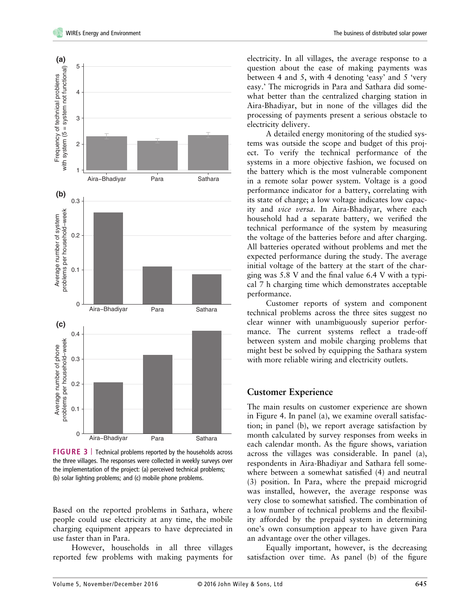

**FIGURE 3** | Technical problems reported by the households across the three villages. The responses were collected in weekly surveys over the implementation of the project: (a) perceived technical problems; (b) solar lighting problems; and (c) mobile phone problems.

Based on the reported problems in Sathara, where people could use electricity at any time, the mobile charging equipment appears to have depreciated in use faster than in Para.

However, households in all three villages reported few problems with making payments for

electricity. In all villages, the average response to a question about the ease of making payments was between 4 and 5, with 4 denoting 'easy' and 5 'very easy.' The microgrids in Para and Sathara did somewhat better than the centralized charging station in Aira-Bhadiyar, but in none of the villages did the processing of payments present a serious obstacle to electricity delivery.

A detailed energy monitoring of the studied systems was outside the scope and budget of this project. To verify the technical performance of the systems in a more objective fashion, we focused on the battery which is the most vulnerable component in a remote solar power system. Voltage is a good performance indicator for a battery, correlating with its state of charge; a low voltage indicates low capacity and *vice versa*. In Aira-Bhadiyar, where each household had a separate battery, we verified the technical performance of the system by measuring the voltage of the batteries before and after charging. All batteries operated without problems and met the expected performance during the study. The average initial voltage of the battery at the start of the charging was 5.8 V and the final value 6.4 V with a typical 7 h charging time which demonstrates acceptable performance.

Customer reports of system and component technical problems across the three sites suggest no clear winner with unambiguously superior performance. The current systems reflect a trade-off between system and mobile charging problems that might best be solved by equipping the Sathara system with more reliable wiring and electricity outlets.

# **Customer Experience**

The main results on customer experience are shown in Figure 4. In panel (a), we examine overall satisfaction; in panel (b), we report average satisfaction by month calculated by survey responses from weeks in each calendar month. As the figure shows, variation across the villages was considerable. In panel (a), respondents in Aira-Bhadiyar and Sathara fell somewhere between a somewhat satisfied (4) and neutral (3) position. In Para, where the prepaid microgrid was installed, however, the average response was very close to somewhat satisfied. The combination of a low number of technical problems and the flexibility afforded by the prepaid system in determining one's own consumption appear to have given Para an advantage over the other villages.

Equally important, however, is the decreasing satisfaction over time. As panel (b) of the figure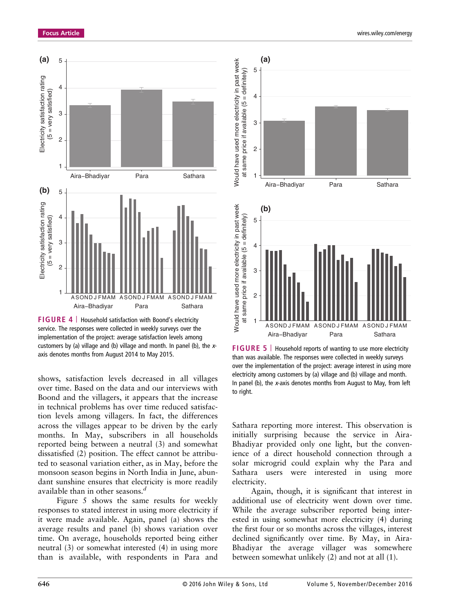

**FIGURE 4** | Household satisfaction with Boond's electricity service. The responses were collected in weekly surveys over the implementation of the project: average satisfaction levels among customers by (a) village and (b) village and month. In panel (b), the <sup>x</sup>axis denotes months from August 2014 to May 2015.

shows, satisfaction levels decreased in all villages over time. Based on the data and our interviews with Boond and the villagers, it appears that the increase in technical problems has over time reduced satisfaction levels among villagers. In fact, the differences across the villages appear to be driven by the early months. In May, subscribers in all households reported being between a neutral (3) and somewhat dissatisfied (2) position. The effect cannot be attributed to seasonal variation either, as in May, before the monsoon season begins in North India in June, abundant sunshine ensures that electricity is more readily available than in other seasons.*<sup>d</sup>*

Figure 5 shows the same results for weekly responses to stated interest in using more electricity if it were made available. Again, panel (a) shows the average results and panel (b) shows variation over time. On average, households reported being either neutral (3) or somewhat interested (4) in using more than is available, with respondents in Para and



**FIGURE 5** | Household reports of wanting to use more electricity than was available. The responses were collected in weekly surveys over the implementation of the project: average interest in using more electricity among customers by (a) village and (b) village and month. In panel (b), the <sup>x</sup>-axis denotes months from August to May, from left to right.

Sathara reporting more interest. This observation is initially surprising because the service in Aira-Bhadiyar provided only one light, but the convenience of a direct household connection through a solar microgrid could explain why the Para and Sathara users were interested in using more electricity.

Again, though, it is significant that interest in additional use of electricity went down over time. While the average subscriber reported being interested in using somewhat more electricity (4) during the first four or so months across the villages, interest declined significantly over time. By May, in Aira-Bhadiyar the average villager was somewhere between somewhat unlikely (2) and not at all (1).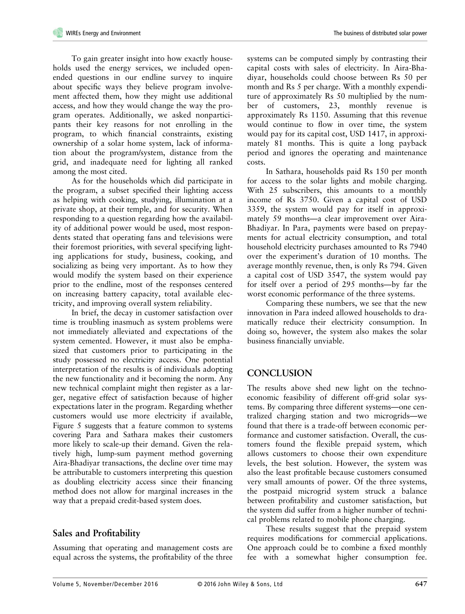To gain greater insight into how exactly households used the energy services, we included openended questions in our endline survey to inquire about specific ways they believe program involvement affected them, how they might use additional access, and how they would change the way the program operates. Additionally, we asked nonparticipants their key reasons for not enrolling in the program, to which financial constraints, existing ownership of a solar home system, lack of information about the program/system, distance from the grid, and inadequate need for lighting all ranked among the most cited.

As for the households which did participate in the program, a subset specified their lighting access as helping with cooking, studying, illumination at a private shop, at their temple, and for security. When responding to a question regarding how the availability of additional power would be used, most respondents stated that operating fans and televisions were their foremost priorities, with several specifying lighting applications for study, business, cooking, and socializing as being very important. As to how they would modify the system based on their experience prior to the endline, most of the responses centered on increasing battery capacity, total available electricity, and improving overall system reliability.

In brief, the decay in customer satisfaction over time is troubling inasmuch as system problems were not immediately alleviated and expectations of the system cemented. However, it must also be emphasized that customers prior to participating in the study possessed no electricity access. One potential interpretation of the results is of individuals adopting the new functionality and it becoming the norm. Any new technical complaint might then register as a larger, negative effect of satisfaction because of higher expectations later in the program. Regarding whether customers would use more electricity if available, Figure 5 suggests that a feature common to systems covering Para and Sathara makes their customers more likely to scale-up their demand. Given the relatively high, lump-sum payment method governing Aira-Bhadiyar transactions, the decline over time may be attributable to customers interpreting this question as doubling electricity access since their financing method does not allow for marginal increases in the way that a prepaid credit-based system does.

# **Sales and Profitability**

Assuming that operating and management costs are equal across the systems, the profitability of the three systems can be computed simply by contrasting their capital costs with sales of electricity. In Aira-Bhadiyar, households could choose between Rs 50 per month and Rs 5 per charge. With a monthly expenditure of approximately Rs 50 multiplied by the number of customers, 23, monthly revenue is approximately Rs 1150. Assuming that this revenue would continue to flow in over time, the system would pay for its capital cost, USD 1417, in approximately 81 months. This is quite a long payback period and ignores the operating and maintenance costs.

In Sathara, households paid Rs 150 per month for access to the solar lights and mobile charging. With 25 subscribers, this amounts to a monthly income of Rs 3750. Given a capital cost of USD 3359, the system would pay for itself in approximately 59 months—a clear improvement over Aira-Bhadiyar. In Para, payments were based on prepayments for actual electricity consumption, and total household electricity purchases amounted to Rs 7940 over the experiment's duration of 10 months. The average monthly revenue, then, is only Rs 794. Given a capital cost of USD 3547, the system would pay for itself over a period of 295 months—by far the worst economic performance of the three systems.

Comparing these numbers, we see that the new innovation in Para indeed allowed households to dramatically reduce their electricity consumption. In doing so, however, the system also makes the solar business financially unviable.

# **CONCLUSION**

The results above shed new light on the technoeconomic feasibility of different off-grid solar systems. By comparing three different systems—one centralized charging station and two microgrids—we found that there is a trade-off between economic performance and customer satisfaction. Overall, the customers found the flexible prepaid system, which allows customers to choose their own expenditure levels, the best solution. However, the system was also the least profitable because customers consumed very small amounts of power. Of the three systems, the postpaid microgrid system struck a balance between profitability and customer satisfaction, but the system did suffer from a higher number of technical problems related to mobile phone charging.

These results suggest that the prepaid system requires modifications for commercial applications. One approach could be to combine a fixed monthly fee with a somewhat higher consumption fee.